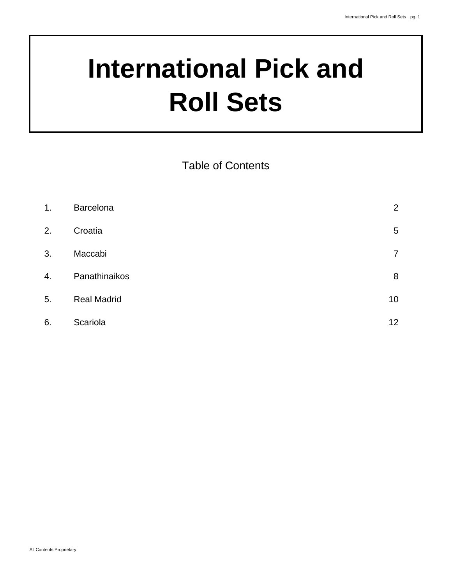# **International Pick and Roll Sets**

Table of Contents

| 1. | Barcelona          | $\overline{2}$ |
|----|--------------------|----------------|
| 2. | Croatia            | 5              |
| 3. | Maccabi            | 7              |
| 4. | Panathinaikos      | 8              |
| 5. | <b>Real Madrid</b> | 10             |
| 6. | Scariola           | 12             |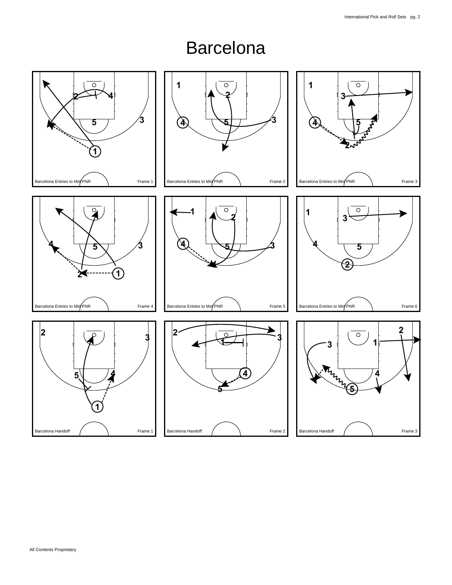#### Barcelona

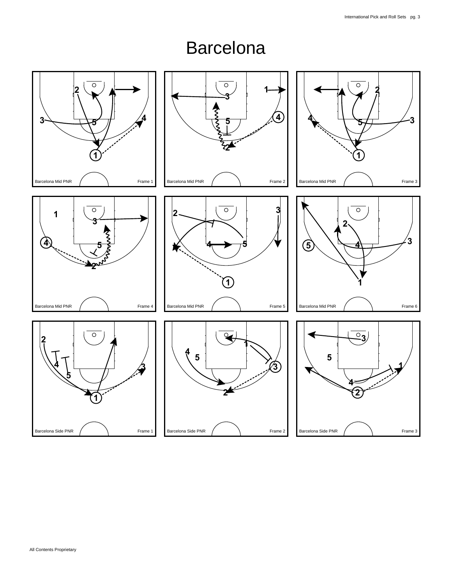#### Barcelona

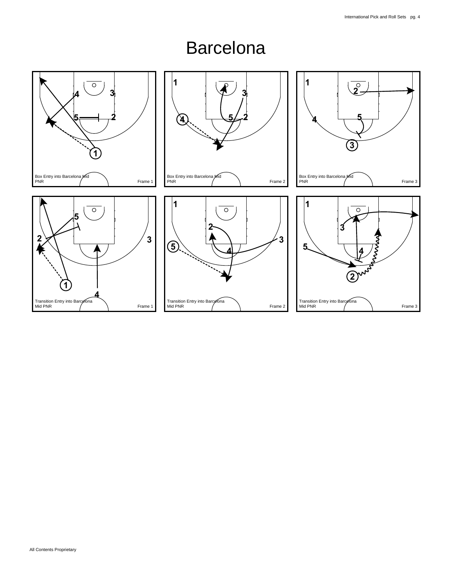#### Barcelona

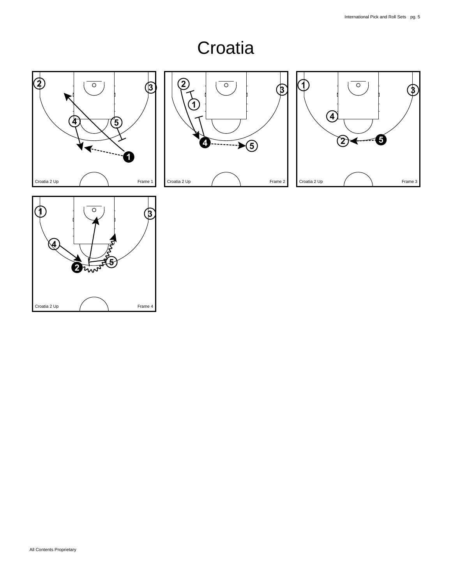# **Croatia**







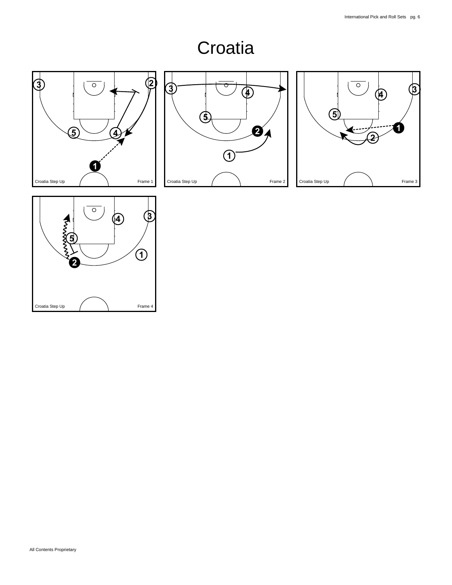# **Croatia**







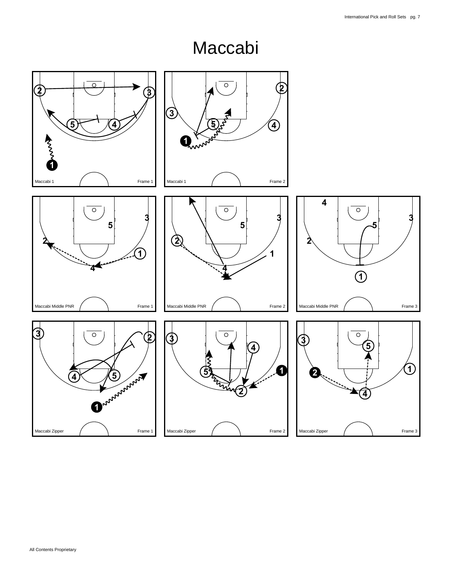#### Maccabi

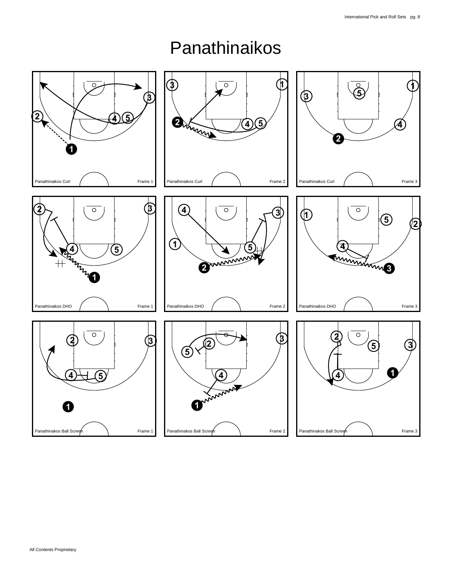## Panathinaikos

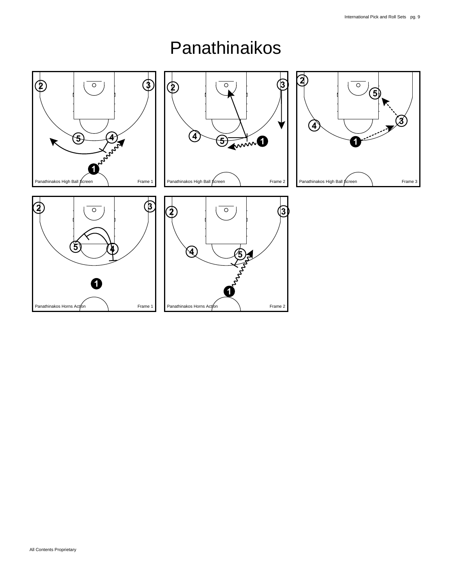

#### Panathinaikos

Panathinakos Horns Action **Action** Research **Prame 2** 

Panathinakos Horns Action **1** Frame 1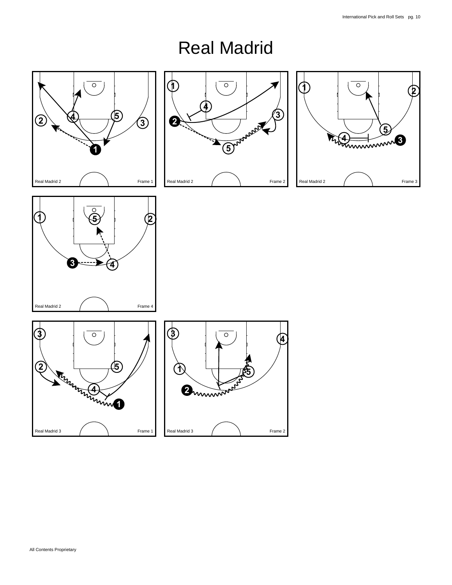## Real Madrid









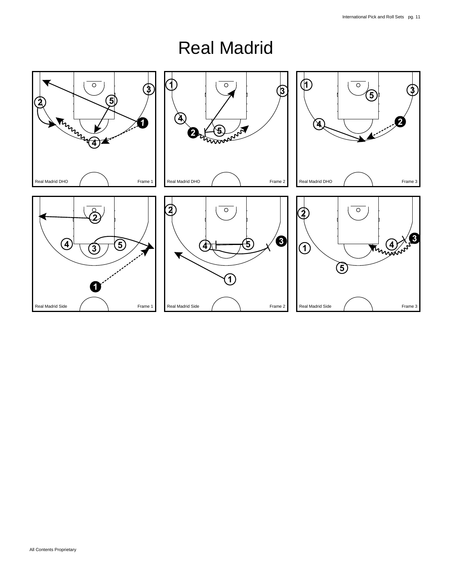## Real Madrid